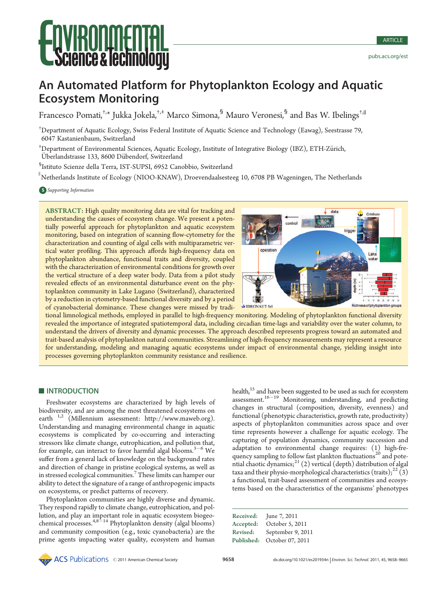# An Automated Platform for Phytoplankton Ecology and Aquatic Ecosystem Monitoring

Francesco Pomati, $^{\dagger,\ast}$  Jukka Jokela, $^{\dagger,\ast}$  Marco Simona, $^{\mathsf{S}}$  Mauro Veronesi, $^{\mathsf{S}}$  and Bas W. Ibelings $^{\dagger,\mathsf{II}}$ 

† Department of Aquatic Ecology, Swiss Federal Institute of Aquatic Science and Technology (Eawag), Seestrasse 79, 6047 Kastanienbaum, Switzerland

‡ Department of Environmental Sciences, Aquatic Ecology, Institute of Integrative Biology (IBZ), ETH-Z€urich, Überlandstrasse 133, 8600 Dübendorf, Switzerland

§ Istituto Scienze della Terra, IST-SUPSI, 6952 Canobbio, Switzerland

 $\,$  Netherlands Institute of Ecology (NIOO-KNAW), Droevendaalsesteeg 10, 6708 PB Wageningen, The Netherlands

**S** Supporting Information

ABSTRACT: High quality monitoring data are vital for tracking and understanding the causes of ecosystem change. We present a potentially powerful approach for phytoplankton and aquatic ecosystem monitoring, based on integration of scanning flow-cytometry for the characterization and counting of algal cells with multiparametric vertical water profiling. This approach affords high-frequency data on phytoplankton abundance, functional traits and diversity, coupled with the characterization of environmental conditions for growth over the vertical structure of a deep water body. Data from a pilot study revealed effects of an environmental disturbance event on the phytoplankton community in Lake Lugano (Switzerland), characterized by a reduction in cytometry-based functional diversity and by a period of cyanobacterial dominance. These changes were missed by tradi-



tional limnological methods, employed in parallel to high-frequency monitoring. Modeling of phytoplankton functional diversity revealed the importance of integrated spatiotemporal data, including circadian time-lags and variability over the water column, to understand the drivers of diversity and dynamic processes. The approach described represents progress toward an automated and trait-based analysis of phytoplankton natural communities. Streamlining of high-frequency measurements may represent a resource for understanding, modeling and managing aquatic ecosystems under impact of environmental change, yielding insight into processes governing phytoplankton community resistance and resilience.

# **INTRODUCTION**

Freshwater ecosystems are characterized by high levels of biodiversity, and are among the most threatened ecosystems on earth <sup>1,2</sup> (Millennium assessment: http://www.maweb.org). Understanding and managing environmental change in aquatic ecosystems is complicated by co-occurring and interacting stressors like climate change, eutrophication, and pollution that, for example, can interact to favor harmful algal blooms. $3-6$  We suffer from a general lack of knowledge on the background rates and direction of change in pristine ecological systems, as well as in stressed ecological communities.<sup>7</sup> These limits can hamper our ability to detect the signature of a range of anthropogenic impacts on ecosystems, or predict patterns of recovery.

Phytoplankton communities are highly diverse and dynamic. They respond rapidly to climate change, eutrophication, and pollution, and play an important role in aquatic ecosystem biogeochemical processes.<sup>4,8-14</sup> Phytoplankton density (algal blooms) and community composition (e.g., toxic cyanobacteria) are the prime agents impacting water quality, ecosystem and human

health,<sup>15</sup> and have been suggested to be used as such for ecosystem assessment. $16-19$  Monitoring, understanding, and predicting changes in structural (composition, diversity, evenness) and functional (phenotypic characteristics, growth rate, productivity) aspects of phytoplankton communities across space and over time represents however a challenge for aquatic ecology. The capturing of population dynamics, community succession and adaptation to environmental change requires: (1) high-frequency sampling to follow fast plankton fluctuations<sup>20</sup> and potential chaotic dynamics; $^{21}$  (2) vertical (depth) distribution of algal taxa and their physio-morphological characteristics (traits);<sup>22</sup>(3) a functional, trait-based assessment of communities and ecosystems based on the characteristics of the organisms' phenotypes

| Received:  | June 7, 2011      |
|------------|-------------------|
| Accepted:  | October 5, 2011   |
| Revised:   | September 9, 2011 |
| Published: | October 07, 2011  |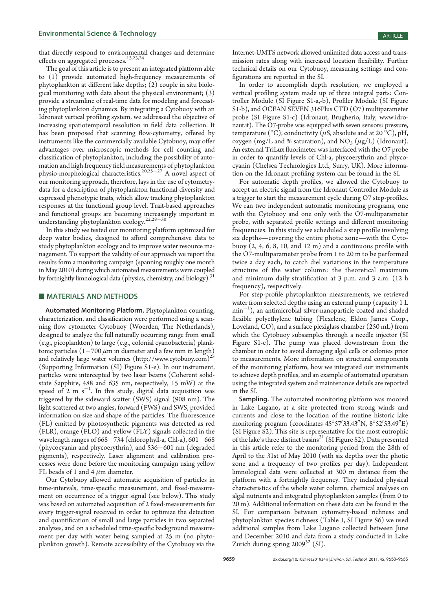that directly respond to environmental changes and determine effects on aggregated processes.<sup>13,23,24</sup>

The goal of this article is to present an integrated platform able to (1) provide automated high-frequency measurements of phytoplankton at different lake depths; (2) couple in situ biological monitoring with data about the physical environment; (3) provide a streamline of real-time data for modeling and forecasting phytoplankton dynamics. By integrating a Cytobuoy with an Idronaut vertical profiling system, we addressed the objective of increasing spatiotemporal resolution in field data collection. It has been proposed that scanning flow-cytometry, offered by instruments like the commercially available Cytobuoy, may offer advantages over microscopic methods for cell counting and classification of phytoplankton, including the possibility of automation and high frequency field measurements of phytoplankton physio-morphological characteristics.<sup>20,25-27</sup> A novel aspect of our monitoring approach, therefore, lays in the use of cytometrydata for a description of phytoplankton functional diversity and expressed phenotypic traits, which allow tracking phytoplankton responses at the functional group level. Trait-based approaches and functional groups are becoming increasingly important in understanding phytoplankton ecology.<sup>22,28-30</sup>

In this study we tested our monitoring platform optimized for deep water bodies, designed to afford comprehensive data to study phytoplankton ecology and to improve water resource management. To support the validity of our approach we report the results form a monitoring campaign (spanning roughly one month in May 2010) during which automated measurements were coupled by fortnightly limnological data (physics, chemistry, and biology).<sup>31</sup>

# **MATERIALS AND METHODS**

Automated Monitoring Platform. Phytoplankton counting, characterization, and classification were performed using a scanning flow cytometer Cytobuoy (Woerden, The Netherlands), designed to analyze the full naturally occurring range from small (e.g., picoplankton) to large (e.g., colonial cyanobacteria) planktonic particles  $(1-700 \mu m)$  in diameter and a few mm in length) and relatively large water volumes  $\left(\frac{http://www.cytobuoy.com}{http://www.cytobuoy.com}\right)^{25}$ (Supporting Information (SI) Figure S1-e). In our instrument, particles were intercepted by two laser beams (Coherent solidstate Sapphire, 488 and 635 nm, respectively, 15 mW) at the speed of  $2 \text{ m s}^{-1}$ . In this study, digital data acquisition was triggered by the sideward scatter (SWS) signal (908 nm). The light scattered at two angles, forward (FWS) and SWS, provided information on size and shape of the particles. The fluorescence (FL) emitted by photosynthetic pigments was detected as red (FLR), orange (FLO) and yellow (FLY) signals collected in the wavelength ranges of  $668-734$  (chlorophyll-a, Chl-a),  $601-668$ (phycocyanin and phycoerythrin), and  $536-601$  nm (degraded pigments), respectively. Laser alignment and calibration processes were done before the monitoring campaign using yellow FL beads of 1 and 4  $\mu$ m diameter.

Our Cytobuoy allowed automatic acquisition of particles in time-intervals, time-specific measurement, and fixed-measurement on occurrence of a trigger signal (see below). This study was based on automated acquisition of 2 fixed-measurements for every trigger-signal received in order to optimize the detection and quantification of small and large particles in two separated analyzes, and on a scheduled time-specific background measurement per day with water being sampled at 25 m (no phytoplankton growth). Remote accessibility of the Cytobuoy via the

In order to accomplish depth resolution, we employed a vertical profiling system made up of three integral parts: Controller Module (SI Figure S1-a,-b), Profiler Module (SI Figure S1-b), and OCEAN SEVEN 316Plus CTD (O7) multiparameter probe (SI Figure S1-c) (Idronaut, Brugherio, Italy, www.idronaut.it). The O7-probe was equipped with seven sensors: pressure, temperature (°C), conductivity ( $\mu$ S, absolute and at 20 °C), pH, oxygen (mg/L and % saturation), and  $NO<sub>3</sub> (\mu g/L)$  (Idronaut). An external TriLux fluorimeter was interfaced with the O7 probe in order to quantify levels of Chl-a, phycoerythrin and phycocyanin (Chelsea Technologies Ltd., Surry, UK). More information on the Idronaut profiling system can be found in the SI.

For automatic depth profiles, we allowed the Cytobuoy to accept an electric signal from the Idronaut Controller Module as a trigger to start the measurement cycle during O7 step-profiles. We ran two independent automatic monitoring programs, one with the Cytobuoy and one only with the O7-multiparameter probe, with separated profile settings and different monitoring frequencies. In this study we scheduled a step profile involving six depths—covering the entire photic zone—with the Cytobuoy (2, 4, 6, 8, 10, and 12 m) and a continuous profile with the O7-multiparameter probe from 1 to 20 m to be performed twice a day each, to catch diel variations in the temperature structure of the water column: the theoretical maximum and minimum daily stratification at 3 p.m. and 3 a.m. (12 h frequency), respectively.

For step-profile phytoplankton measurements, we retrieved water from selected depths using an external pump (capacity 1 L min<sup>-1</sup>), an antimicrobial silver-nanoparticle coated and shaded flexible polyethylene tubing (Flexelene, Eldon James Corp., Loveland, CO), and a surface plexiglass chamber (250 mL) from which the Cytobuoy subsamples through a needle injector (SI Figure S1-e). The pump was placed downstream from the chamber in order to avoid damaging algal cells or colonies prior to measurements. More information on structural components of the monitoring platform, how we integrated our instruments to achieve depth profiles, and an example of automated operation using the integrated system and maintenance details are reported in the SI.

Sampling. The automated monitoring platform was moored in Lake Lugano, at a site protected from strong winds and currents and close to the location of the routine historic lake monitoring program (coordinates 45°57'33.43"N, 8°52'53.49"E) (SI Figure S2). This site is representative for the most eutrophic of the lake's three distinct basins<sup>31</sup> (SI Figure S2). Data presented in this article refer to the monitoring period from the 28th of April to the 31st of May 2010 (with six depths over the photic zone and a frequency of two profiles per day). Independent limnological data were collected at 300 m distance from the platform with a fortnightly frequency. They included physical characteristics of the whole water column, chemical analyses on algal nutrients and integrated phytoplankton samples (from 0 to 20 m). Additional information on these data can be found in the SI. For comparison between cytometry-based richness and phytoplankton species richness (Table 1, SI Figure S6) we used additional samples from Lake Lugano collected between June and December 2010 and data from a study conducted in Lake Zurich during spring  $2009^{32}$  (SI).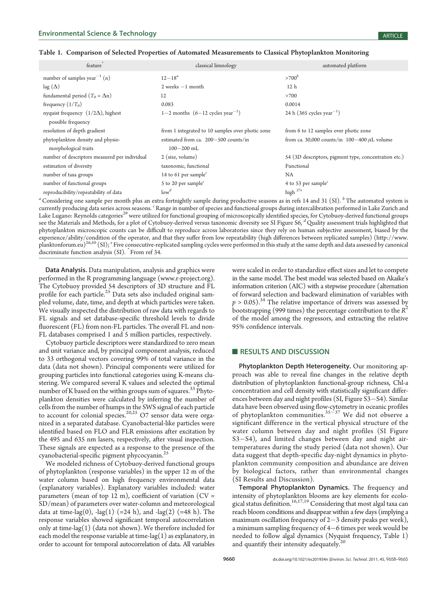| feature <sup>'</sup>                                            | classical limnology                                    | automated platform                                    |
|-----------------------------------------------------------------|--------------------------------------------------------|-------------------------------------------------------|
| number of samples year <sup>-1</sup> (n)                        | $12 - 18^a$                                            | $>700^b$                                              |
| $\log(\Delta)$                                                  | $2$ weeks $-1$ month                                   | 12 <sub>h</sub>                                       |
| fundamental period $(T_0 = \Delta n)$                           | 12                                                     | >700                                                  |
| frequency $(1/T_0)$                                             | 0.083                                                  | 0.0014                                                |
| nyquist frequency $(1/2\Delta)$ , highest<br>possible frequency | 1-2 months $(6-12 \text{ cycles year}^{-1})$           | 24 h $(365 \text{ cycles year}^{-1})$                 |
| resolution of depth gradient                                    | from 1 integrated to 10 samples over photic zone       | from 6 to 12 samples over photic zone                 |
| phytoplankton density and physio-<br>morphological traits       | estimated from ca. 200-500 counts/in<br>$100 - 200$ mL | from ca. 30,000 counts/in $100-400 \mu L$ volume      |
| number of descriptors measured per individual                   | 2 (size, volume)                                       | 54 (3D descriptors, pigment type, concentration etc.) |
| estimation of diversity                                         | taxonomic, functional                                  | Functional                                            |
| number of taxa groups                                           | 14 to 61 per sample <sup><math>c</math></sup>          | <b>NA</b>                                             |
| number of functional groups                                     | 5 to 20 per sample <sup><math>c</math></sup>           | 4 to 53 per sample <sup><math>\epsilon</math></sup>   |
| reproducibility/repeatability of data                           | $low^d$                                                | high $^{27e}$                                         |

|  |  |  |  | Table 1. Comparison of Selected Properties of Automated Measurements to Classical Phytoplankton Monitoring |  |
|--|--|--|--|------------------------------------------------------------------------------------------------------------|--|
|--|--|--|--|------------------------------------------------------------------------------------------------------------|--|

 $a^a$  Considering one sample per month plus an extra fortnightly sample during productive seasons as in refs 14 and 31 (SI).  $b^b$  The automated system is currently producing data series across seasons. 'Range in number of species and functional groups during intercalibration performed in Lake Zurich and Lake Lugano: Reynolds categories<sup>29</sup> were utilized for functional grouping of microscopically identified species, for Cytobuoy-derived functional groups see the Materials and Methods, for a plot of Cytobuoy-derived versus taxonomic diversity see SI Figure S6, <sup>d</sup> Quality assessment trials highlighted that phytoplankton microscopic counts can be difficult to reproduce across laboratories since they rely on human subjective assessment, biased by the experience/ability/condition of the operator, and that they suffer from low repeatability (high differences between replicated samples) (http://www. planktonforum.eu) $^{26,50}$  (SI);  $^e$  Five consecutive-replicated sampling cycles were performed in this study at the same depth and data assessed by canonical discriminate function analysis (SI). \* From ref 34.

Data Analysis. Data manipulation, analysis and graphics were performed in the R programming language (www.r-project.org). The Cytobuoy provided 54 descriptors of 3D structure and FL profile for each particle.<sup>25</sup> Data sets also included original sampled volume, date, time, and depth at which particles were taken. We visually inspected the distribution of raw data with regards to FL signals and set database-specific threshold levels to divide fluorescent (FL) from non-FL particles. The overall FL and non-FL databases comprised 1 and 5 million particles, respectively.

Cytobuoy particle descriptors were standardized to zero mean and unit variance and, by principal component analysis, reduced to 33 orthogonal vectors covering 99% of total variance in the data (data not shown). Principal components were utilized for grouping particles into functional categories using K-means clustering. We compared several K values and selected the optimal number of K based on the within groups sum of squares.<sup>33</sup> Phytoplankton densities were calculated by inferring the number of cells from the number of humps in the SWS signal of each particle to account for colonial species.<sup>20,25</sup> O7 sensor data were organized in a separated database. Cyanobacterial-like particles were identified based on FLO and FLR emissions after excitation by the 495 and 635 nm lasers, respectively, after visual inspection. These signals are expected as a response to the presence of the cyanobacterial-specific pigment phycocyanin.<sup>25</sup>

We modeled richness of Cytobuoy-derived functional groups of phytoplankton (response variables) in the upper 12 m of the water column based on high frequency environmental data (explanatory variables). Explanatory variables included: water parameters (mean of top 12 m), coefficient of variation  $(CV =$ SD/mean) of parameters over water-column and meteorological data at time-lag(0), -lag(1) (=24 h), and -lag(2) (=48 h). The response variables showed significant temporal autocorrelation only at time-lag(1) (data not shown). We therefore included for each model the response variable at time-lag( $1$ ) as explanatory, in order to account for temporal autocorrelation of data. All variables were scaled in order to standardize effect sizes and let to compete in the same model. The best model was selected based on Akaike's information criterion (AIC) with a stepwise procedure (alternation of forward selection and backward elimination of variables with  $p > 0.05$ ).<sup>34</sup> The relative importance of drivers was assessed by bootstrapping (999 times) the percentage contribution to the  $R^2$ of the model among the regressors, and extracting the relative 95% confidence intervals.

# RESULTS AND DISCUSSION

Phytoplankton Depth Heterogeneity. Our monitoring approach was able to reveal fine changes in the relative depth distribution of phytoplankton functional-group richness, Chl-a concentration and cell density with statistically significant differences between day and night profiles (SI, Figure  $S3-S4$ ). Similar data have been observed using flow-cytometry in oceanic profiles of phytoplankton communities. $35-37$  We did not observe a significant difference in the vertical physical structure of the water column between day and night profiles (SI Figure  $S3-S4$ ), and limited changes between day and night airtemperatures during the study period (data not shown). Our data suggest that depth-specific day-night dynamics in phytoplankton community composition and abundance are driven by biological factors, rather than environmental changes (SI Results and Discussion).

Temporal Phytoplankton Dynamics. The frequency and intensity of phytoplankton blooms are key elements for ecological status definition.<sup>16,17,19</sup> Considering that most algal taxa can reach bloom conditions and disappear within a few days (implying a maximum oscillation frequency of  $2-3$  density peaks per week), a minimum sampling frequency of  $4-6$  times per week would be needed to follow algal dynamics (Nyquist frequency, Table 1) and quantify their intensity adequately.<sup>20</sup>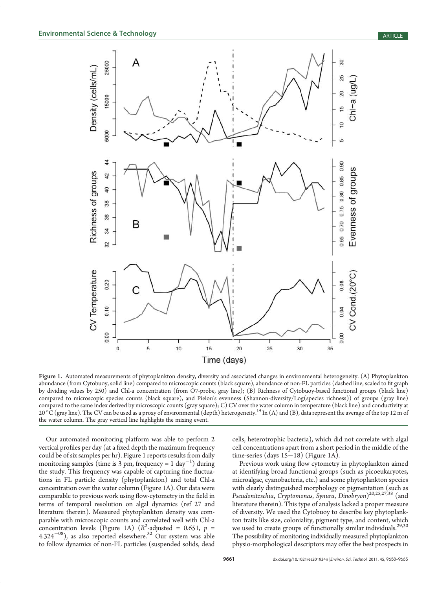

Figure 1. Automated measurements of phytoplankton density, diversity and associated changes in environmental heterogeneity. (A) Phytoplankton abundance (from Cytobuoy, solid line) compared to microscopic counts (black square), abundance of non-FL particles (dashed line, scaled to fit graph by dividing values by 250) and Chl-a concentration (from O7-probe, gray line); (B) Richness of Cytobuoy-based functional groups (black line) compared to microscopic species counts (black square), and Pielou's evenness (Shannon-diversity/Log(species richness)) of groups (gray line) compared to the same index derived by microscopic counts (gray square); C) CV over the water column in temperature (black line) and conductivity at 20 °C (gray line). The CV can be used as a proxy of environmental (depth) heterogeneity.<sup>14</sup> In (A) and (B), data represent the average of the top 12 m of the water column. The gray vertical line highlights the mixing event.

Our automated monitoring platform was able to perform 2 vertical profiles per day (at a fixed depth the maximum frequency could be of six samples per hr). Figure 1 reports results from daily monitoring samples (time is 3 pm, frequency =  $1 \text{ day}^{-1}$ ) during the study. This frequency was capable of capturing fine fluctuations in FL particle density (phytoplankton) and total Chl-a concentration over the water column (Figure 1A). Our data were comparable to previous work using flow-cytometry in the field in terms of temporal resolution on algal dynamics (ref 27 and literature therein). Measured phytoplankton density was comparable with microscopic counts and correlated well with Chl-a concentration levels (Figure 1A) ( $R^2$ -adjusted = 0.651,  $p =$  $4.324^{-08}$ ), as also reported elsewhere.<sup>32</sup> Our system was able to follow dynamics of non-FL particles (suspended solids, dead

cells, heterotrophic bacteria), which did not correlate with algal cell concentrations apart from a short period in the middle of the time-series (days  $15-18$ ) (Figure 1A).

Previous work using flow cytometry in phytoplankton aimed at identifying broad functional groups (such as picoeukaryotes, microalgae, cyanobacteria, etc.) and some phytoplankton species with clearly distinguished morphology or pigmentation (such as Pseudonitzschia, Cryptomonas, Synura, Dinobryon)<sup>20,25,27,38</sup> (and literature therein). This type of analysis lacked a proper measure of diversity. We used the Cytobuoy to describe key phytoplankton traits like size, coloniality, pigment type, and content, which we used to create groups of functionally similar individuals.<sup>29,30</sup> The possibility of monitoring individually measured phytoplankton physio-morphological descriptors may offer the best prospects in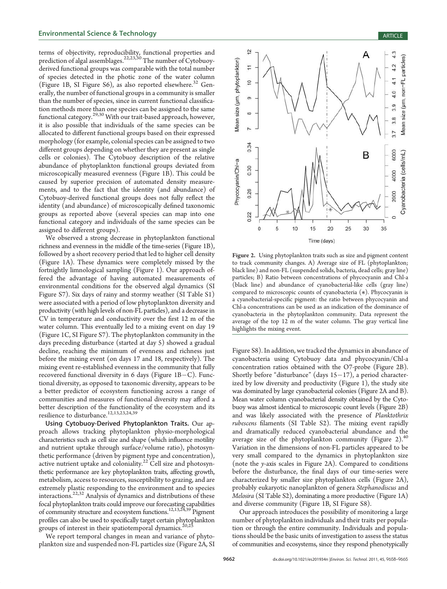terms of objectivity, reproducibility, functional properties and prediction of algal assemblages.<sup>22,23,30</sup> The number of Cytobuoyderived functional groups was comparable with the total number of species detected in the photic zone of the water column (Figure 1B, SI Figure S6), as also reported elsewhere.<sup>32</sup> Generally, the number of functional groups in a community is smaller than the number of species, since in current functional classification methods more than one species can be assigned to the same functional category.29,30 With our trait-based approach, however, it is also possible that individuals of the same species can be allocated to different functional groups based on their expressed morphology (for example, colonial species can be assigned to two different groups depending on whether they are present as single cells or colonies). The Cytobuoy description of the relative abundance of phytoplankton functional groups deviated from microscopically measured evenness (Figure 1B). This could be caused by superior precision of automated density measurements, and to the fact that the identity (and abundance) of Cytobuoy-derived functional groups does not fully reflect the identity (and abundance) of microscopically defined taxonomic groups as reported above (several species can map into one functional category and individuals of the same species can be assigned to different groups).

We observed a strong decrease in phytoplankton functional richness and evenness in the middle of the time-series (Figure 1B), followed by a short recovery period that led to higher cell density (Figure 1A). These dynamics were completely missed by the fortnightly limnological sampling (Figure 1). Our approach offered the advantage of having automated measurements of environmental conditions for the observed algal dynamics (SI Figure S7). Six days of rainy and stormy weather (SI Table S1) were associated with a period of low phytoplankton diversity and productivity (with high levels of non-FL particles), and a decrease in CV in temperature and conductivity over the first 12 m of the water column. This eventually led to a mixing event on day 19 (Figure 1C, SI Figure S7). The phytoplankton community in the days preceding disturbance (started at day 5) showed a gradual decline, reaching the minimum of evenness and richness just before the mixing event (on days 17 and 18, respectively). The mixing event re-established evenness in the community that fully recovered functional diversity in 6 days (Figure  $1B-C$ ). Functional diversity, as opposed to taxonomic diversity, appears to be a better predictor of ecosystem functioning across a range of communities and measures of functional diversity may afford a better description of the functionality of the ecosystem and its resilience to disturbance.<sup>12,13,23,24,39</sup>

Using Cytobuoy-Derived Phytoplankton Traits. Our approach allows tracking phytoplankton physio-morphological characteristics such as cell size and shape (which influence motility and nutrient uptake through surface/volume ratio), photosynthetic performance (driven by pigment type and concentration), active nutrient uptake and coloniality.<sup>22</sup> Cell size and photosynthetic performance are key phytoplankton traits, affecting growth, metabolism, access to resources, susceptibility to grazing, and are extremely plastic responding to the environment and to species interactions.22,32 Analysis of dynamics and distributions of these focal phytoplankton traits could improve our forecasting capabilities of community structure and ecosystem functions.<sup>12,13,24,39</sup> Pigment profiles can also be used to specifically target certain phytoplankton groups of interest in their spatiotemporal dynamics.<sup>20,25</sup>

We report temporal changes in mean and variance of phytoplankton size and suspended non-FL particles size (Figure 2A, SI



Figure 2. Using phytoplankton traits such as size and pigment content to track community changes. A) Average size of FL (phytoplankton; black line) and non-FL (suspended solids, bacteria, dead cells; gray line) particles; B) Ratio between concentrations of phycocyanin and Chl-a (black line) and abundance of cyanobacterial-like cells (gray line) compared to microscopic counts of cyanobacteria  $(*)$ . Phycocyanin is a cyanobacterial-specific pigment: the ratio between phycocyanin and Chl-a concentrations can be used as an indication of the dominance of cyanobacteria in the phytoplankton community. Data represent the average of the top 12 m of the water column. The gray vertical line highlights the mixing event.

Figure S8). In addition, we tracked the dynamics in abundance of cyanobacteria using Cytobuoy data and phycocyanin/Chl-a concentration ratios obtained with the O7-probe (Figure 2B). Shortly before "disturbance" (days  $15-17$ ), a period characterized by low diversity and productivity (Figure 1), the study site was dominated by large cyanobacterial colonies (Figure 2A and B). Mean water column cyanobacterial density obtained by the Cytobuoy was almost identical to microscopic count levels (Figure 2B) and was likely associated with the presence of Planktothrix rubescens filaments (SI Table S2). The mixing event rapidly and dramatically reduced cyanobacterial abundance and the average size of the phytoplankton community (Figure 2). $40$ Variation in the dimensions of non-FL particles appeared to be very small compared to the dynamics in phytoplankton size (note the y-axis scales in Figure 2A). Compared to conditions before the disturbance, the final days of our time-series were characterized by smaller size phytoplankton cells (Figure 2A), probably eukaryotic nanoplankton of genera Stephanodiscus and Melosira (SI Table S2), dominating a more productive (Figure 1A) and diverse community (Figure 1B, SI Figure S8).

Our approach introduces the possibility of monitoring a large number of phytoplankton individuals and their traits per population or through the entire community. Individuals and populations should be the basic units of investigation to assess the status of communities and ecosystems, since they respond phenotypically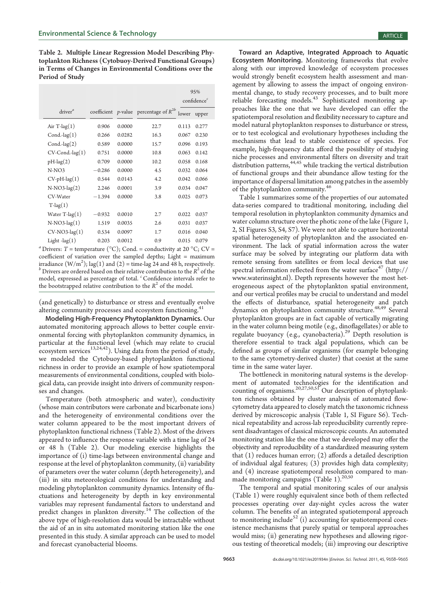Table 2. Multiple Linear Regression Model Describing Phytoplankton Richness (Cytobuoy-Derived Functional Groups) in Terms of Changes in Environmental Conditions over the Period of Study

|                       |          |        |                                                    | 95%<br>confidence |       |
|-----------------------|----------|--------|----------------------------------------------------|-------------------|-------|
| driver <sup>a</sup>   |          |        | coefficient <i>p</i> -value percentage of $R^{2b}$ | lower             | upper |
| Air T-lag $(1)$       | 0.906    | 0.0000 | 22.7                                               | 0.113             | 0.277 |
| $Cond$ -lag $(1)$     | 0.266    | 0.0282 | 16.3                                               | 0.067             | 0.230 |
| $Cond-lag(2)$         | 0.589    | 0.0000 | 15.7                                               | 0.096             | 0.193 |
| $CV$ -Cond.-lag $(1)$ | 0.751    | 0.0000 | 10.8                                               | 0.063             | 0.142 |
| $pH$ -lag $(2)$       | 0.709    | 0.0000 | 10.2                                               | 0.058             | 0.168 |
| N-NO3                 | $-0.286$ | 0.0000 | 4.5                                                | 0.032             | 0.064 |
| $CV$ -pH-lag $(1)$    | 0.544    | 0.0143 | 4.2                                                | 0.042             | 0.066 |
| $N-NO3$ -lag $(2)$    | 2.246    | 0.0001 | 3.9                                                | 0.034             | 0.047 |
| CV-Water              | $-1.394$ | 0.0000 | 3.8                                                | 0.025             | 0.073 |
| $T$ -lag $(1)$        |          |        |                                                    |                   |       |
| Water $T$ -lag $(1)$  | $-0.932$ | 0.0010 | 2.7                                                | 0.022             | 0.037 |
| $N-NO3$ -lag $(1)$    | 1.519    | 0.0035 | 2.6                                                | 0.031             | 0.037 |
| $CV-NO3$ -lag $(1)$   | 0.534    | 0.0097 | 1.7                                                | 0.016             | 0.040 |
| Light $-lag(1)$       | 0.203    | 0.0012 | 0.9                                                | 0.015             | 0.079 |
|                       |          |        |                                                    |                   |       |

<sup>*a*</sup> Drivers: *T* = temperature (°C); Cond. = conductivity at 20 °C; CV = coefficient of variation over the sampled depths; Light = maximum irradiance  $(W/m^2)$ ; lag(1) and (2) = time-lag 24 and 48 h, respectively.  $\overline{P}$  Drivers are ordered based on their relative contribution to the  $R^2$  of the model, expressed as percentage of total. 'Confidence intervals refer to the bootstrapped relative contribution to the  $R^2$  of the model.

(and genetically) to disturbance or stress and eventually evolve altering community processes and ecosystem functioning.<sup>41</sup>

Modeling High-Frequency Phytoplankton Dynamics. Our automated monitoring approach allows to better couple environmental forcing with phytoplankton community dynamics, in particular at the functional level (which may relate to crucial ecosystem services<sup>13,24,42</sup>). Using data from the period of study, we modeled the Cytobuoy-based phytoplankton functional richness in order to provide an example of how spatiotemporal measurements of environmental conditions, coupled with biological data, can provide insight into drivers of community responses and changes.

Temperature (both atmospheric and water), conductivity (whose main contributors were carbonate and bicarbonate ions) and the heterogeneity of environmental conditions over the water column appeared to be the most important drivers of phytoplankton functional richness (Table 2). Most of the drivers appeared to influence the response variable with a time lag of 24 or 48 h (Table 2). Our modeling exercise highlights the importance of (i) time-lags between environmental change and response at the level of phytoplankton community, (ii) variability of parameters over the water column (depth heterogeneity), and (iii) in situ meteorological conditions for understanding and modeling phytoplankton community dynamics. Intensity of fluctuations and heterogeneity by depth in key environmental variables may represent fundamental factors to understand and predict changes in plankton diversity.<sup>14</sup> The collection of the above type of high-resolution data would be intractable without the aid of an in situ automated monitoring station like the one presented in this study. A similar approach can be used to model and forecast cyanobacterial blooms.

Toward an Adaptive, Integrated Approach to Aquatic Ecosystem Monitoring. Monitoring frameworks that evolve along with our improved knowledge of ecosystem processes would strongly benefit ecosystem health assessment and management by allowing to assess the impact of ongoing environmental change, to study recovery processes, and to built more reliable forecasting models.<sup>43</sup> Sophisticated monitoring approaches like the one that we have developed can offer the spatiotemporal resolution and flexibility necessary to capture and model natural phytoplankton responses to disturbance or stress, or to test ecological and evolutionary hypotheses including the mechanisms that lead to stable coexistence of species. For example, high-frequency data afford the possibility of studying niche processes and environmental filters on diversity and trait distribution patterns,<sup>44,45</sup> while tracking the vertical distribution of functional groups and their abundance allow testing for the importance of dispersal limitation among patches in the assembly of the phytoplankton community.<sup>46</sup>

Table 1 summarizes some of the properties of our automated data-series compared to traditional monitoring, including diel temporal resolution in phytoplankton community dynamics and water column structure over the photic zone of the lake (Figure 1, 2, SI Figures S3, S4, S7). We were not able to capture horizontal spatial heterogeneity of phytoplankton and the associated environment. The lack of spatial information across the water surface may be solved by integrating our platform data with remote sensing from satellites or from local devices that use spectral information reflected from the water surface  $^{47}$  (http://  $\,$ www.waterinsight.nl). Depth represents however the most heterogeneous aspect of the phytoplankton spatial environment, and our vertical profiles may be crucial to understand and model the effects of disturbance, spatial heterogeneity and patch dynamics on phytoplankton community structure.<sup>48,49</sup> Several phytoplankton groups are in fact capable of vertically migrating in the water column being motile (e.g., dinoflagellates) or able to regulate buoyancy (e.g., cyanobacteria).<sup>29</sup> Depth resolution is therefore essential to track algal populations, which can be defined as groups of similar organisms (for example belonging to the same cytometry-derived cluster) that coexist at the same time in the same water layer.

The bottleneck in monitoring natural systems is the development of automated technologies for the identification and counting of organisms. $20,27,50,51$  Our description of phytoplankton richness obtained by cluster analysis of automated flowcytometry data appeared to closely match the taxonomic richness derived by microscopic analysis (Table 1, SI Figure S6). Technical repeatability and across-lab reproducibility currently represent disadvantages of classical microscopic counts. An automated monitoring station like the one that we developed may offer the objectivity and reproducibility of a standardized measuring system that (1) reduces human error; (2) affords a detailed description of individual algal features; (3) provides high data complexity; and (4) increase spatiotemporal resolution compared to manmade monitoring campaigns (Table 1).<sup>20,50</sup>

The temporal and spatial monitoring scales of our analysis (Table 1) were roughly equivalent since both of them reflected processes operating over day-night cycles across the water column. The benefits of an integrated spatiotemporal approach to monitoring include<sup>52</sup> (i) accounting for spatiotemporal coexistence mechanisms that purely spatial or temporal approaches would miss; (ii) generating new hypotheses and allowing rigorous testing of theoretical models; (iii) improving our descriptive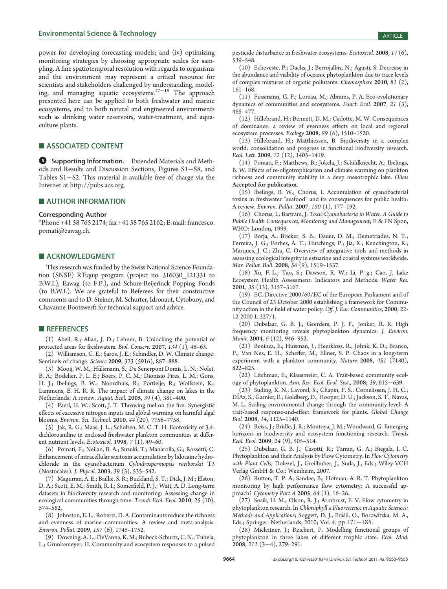power for developing forecasting models; and (iv) optimizing monitoring strategies by choosing appropriate scales for sampling. A fine spatiotemporal resolution with regards to organisms and the environment may represent a critical resource for scientists and stakeholders challenged by understanding, modeling, and managing aquatic ecosystems. $17-19$  The approach presented here can be applied to both freshwater and marine ecosystems, and to both natural and engineered environments such as drinking water reservoirs, water-treatment, and aquaculture plants.

# **ASSOCIATED CONTENT**

**6** Supporting Information. Extended Materials and Methods and Results and Discussion Sections, Figures  $S1-S8$ , and Tables  $S1-S2$ . This material is available free of charge via the Internet at http://pubs.acs.org.

## **E** AUTHOR INFORMATION

### Corresponding Author

\*Phone +41 58 765 2174; fax +41 58 765 2162; E-mail: francesco. pomati@eawag.ch.

### ■ ACKNOWLEDGMENT

This research was funded by the Swiss National Science Foundation (SNSF) R'Equip program (project no. 316030\_121331 to B.W.I.), Eawag (to F.P.), and Schure-Beijerinck Popping Fonds (to B.W.I.). We are grateful to Referees for their constructive comments and to D. Steiner, M. Schurter, Idronaut, Cytobuoy, and Chavanne Bootswerft for technical support and advice.

#### **REFERENCES**

(1) Abell, R.; Allan, J. D.; Lehner, B. Unlocking the potential of protected areas for freshwaters. Biol. Conserv. 2007, 134 (1), 48–63.

(2) Williamson, C. E.; Saros, J. E.; Schindler, D. W. Climate change: Sentinels of change. Science 2009, 323 (5916), 887–888.

(3) Mooij, W. M.; Hülsmann, S.; De Senerpont Domis, L. N.; Nolet, B. A.; Bodelier, P. L. E.; Boers, P. C. M.; Dionisio Pires, L. M.; Gons, H. J.; Ibelings, B. W.; Noordhuis, R.; Portielje, R.; Wolfstein, K.; Lammens, E. H. R. R. The impact of climate change on lakes in the Netherlands: A review. Aquat. Ecol. 2005, 39 (4), 381–400.

(4) Paerl, H. W.; Scott, J. T. Throwing fuel on the fire: Synergistic effects of excessive nitrogen inputs and global warming on harmful algal blooms. Environ. Sci. Technol. 2010, 44 (20), 7756–7758.

(5) Jak, R. G.; Maas, J. L.; Scholten, M. C. T. H. Ecotoxicity of 3,4 dichloroaniline in enclosed freshwater plankton communities at different nutrient levels. Ecotoxicol. 1998, 7 (1), 49–60.

(6) Pomati, F.; Neilan, B. A.; Suzuki, T.; Manarolla, G.; Rossetti, C. Enhancement of intracellular saxitoxin accumulation by lidocaine hydrochloride in the cyanobacterium Cylindrospermopsis raciborskii T3 (Nostocales). J. Phycol. 2003, 39 (3), 535–542.

(7) Magurran, A. E.; Baillie, S. R.; Buckland, S. T.; Dick, J. M.; Elston, D. A.; Scott, E. M.; Smith, R. I.; Somerfield, P. J.; Watt, A. D. Long-term datasets in biodiversity research and monitoring: Assessing change in ecological communities through time. Trends Ecol. Evol. 2010, 25 (10), 574–582.

(8) Johnston, E. L.; Roberts, D. A. Contaminants reduce the richness and evenness of marine communities: A review and meta-analysis. Environ. Pollut. 2009, 157 (6), 1745–1752.

(9) Downing, A. L.; DeVanna, K. M.; Rubeck-Schurtz, C. N.; Tuhela, L.; Grunkemeyer, H. Community and ecosystem responses to a pulsed pesticide disturbance in freshwater ecosystems. Ecotoxicol. 2008, 17 (6), 539–548.

(10) Echeveste, P.; Dachs, J.; Berrojalbiz, N.; Agusti, S. Decrease in the abundance and viability of oceanic phytoplankton due to trace levels of complex mixtures of organic pollutants. Chemosphere 2010, 81 (2), 161–168.

(11) Fussmann, G. F.; Loreau, M.; Abrams, P. A. Eco-evolutionary dynamics of communities and ecosystems. Funct. Ecol. 2007, 21 (3), 465–477.

(12) Hillebrand, H.; Bennett, D. M.; Cadotte, M. W. Consequences of dominance: a review of evenness effects on local and regional ecosystem processes. Ecology 2008, 89 (6), 1510–1520.

(13) Hillebrand, H.; Matthiessen, B. Biodiversity in a complex world: consolidation and progress in functional biodiversity research. Ecol. Lett. 2009, 12 (12), 1405–1419.

(14) Pomati, F.; Matthews, B.; Jokela, J.; Schildknecht, A.; Ibelings, B. W. Effects of re-oligotrophication and climate warming on plankton richness and community stability in a deep mesotrophic lake. Oikos Accepted for publication.

(15) Ibelings, B. W.; Chorus, I. Accumulation of cyanobacterial toxins in freshwater "seafood" and its consequences for public health: A review. Environ. Pollut. 2007, 150 (1), 177–192.

(16) Chorus, I.; Bartram, J. Toxic Cyanobacteria in Water. A Guide to Public Health Consequences, Monitoring and Management; E & FN Spon, WHO: London, 1999.

(17) Borja, A.; Bricker, S. B.; Dauer, D. M.; Demetriades, N. T.; Ferreira, J. G.; Forbes, A. T.; Hutchings, P.; Jia, X.; Kenchington, R.; Marques, J. C.; Zhu, C. Overview of integrative tools and methods in assessing ecological integrity in estuarine and coastal systems worldwide. Mar. Pollut. Bull. 2008, 56 (9), 1519–1537.

(18) Xu, F.-L.; Tao, S.; Dawson, R. W.; Li, P.-g.; Cao, J. Lake Ecosystem Health Assessment: Indicators and Methods. Water Res. 2001, 35 (13), 3157–3167.

(19) EC. Directive 2000/60/EC of the European Parliament and of the Council of 23 October 2000 establishing a framework for Community action in the field of water policy. Off. J. Eur. Communities, 2000; 22- 12-2000 L 327/1.

(20) Dubelaar, G. B. J.; Geerders, P. J. F.; Jonker, R. R. High frequency monitoring reveals phytoplankton dynamics. J. Environ. Monit. 2004, 6 (12), 946–952.

(21) Beninca, E.; Huisman, J.; Heerkloss, R.; Johnk, K. D.; Branco, P.; Van Nes, E. H.; Scheffer, M.; Ellner, S. P. Chaos in a long-term experiment with a plankton community. Nature 2008, 451 (7180), 822–825.

(22) Litchman, E.; Klausmeier, C. A. Trait-based community ecology of phytoplankton. Ann. Rev. Ecol. Evol. Syst., 2008; 39, 615-639.

(23) Suding, K. N.; Lavorel, S.; Chapin, F. S.; Cornelissen, J. H. C.; DÍAz, S.; Garnier, E.; Goldberg, D.; Hooper, D. U.; Jackson, S. T.; Navas, M.-L. Scaling environmental change through the community-level: A trait-based response-and-effect framework for plants. Global Change Biol. 2008, 14, 1125–1140.

(24) Reiss, J.; Bridle, J. R.; Montoya, J. M.; Woodward, G. Emerging horizons in biodiversity and ecosystem functioning research. Trends Ecol. Evol. 2009, 24 (9), 505–514.

(25) Dubelaar, G. B. J.; Casotti, R.; Tarran, G. A.; Biegala, I. C. Phytoplankton and their Analysis by Flow Cytometry. In Flow Cytometry with Plant Cells; Dolezel, J., Greilhuber, J., Suda, J., Eds.; Wiley-VCH Verlag GmbH & Co.: Weinheim, 2007.

(26) Rutten, T. P. A; Sandee, B.; Hofman, A. R. T. Phytoplankton monitoring by high performance flow cytometry: A successful approach? Cytometry Part A 2005, 64 (1), 16–26.

(27) Sosik, H. M.; Olson, R. J.; Armbrust, E. V. Flow cytometry in phytoplankton research. In Chlorophyll a Fluorescence in Aquatic Sciences: Methods and Applications; Suggett, D. J., Prášil, O., Borowitzka, M. A., Eds.; Springer: Netherlands, 2010; Vol. 4, pp  $171-185$ .

(28) Mieleitner, J.; Reichert, P. Modelling functional groups of phytoplankton in three lakes of different trophic state. Ecol. Mod.  $2008, 211 (3-4), 279-291.$